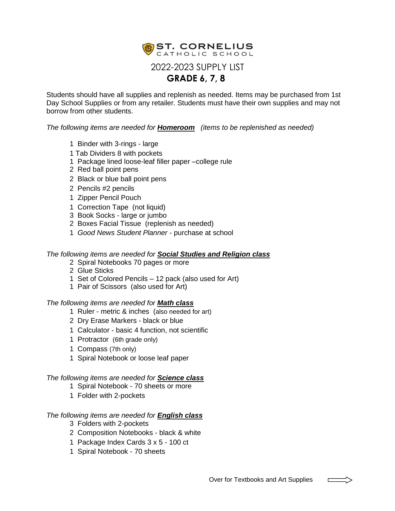

Students should have all supplies and replenish as needed. Items may be purchased from 1st Day School Supplies or from any retailer. Students must have their own supplies and may not borrow from other students.

*The following items are needed for Homeroom (items to be replenished as needed)*

- 1 Binder with 3-rings large
- 1 Tab Dividers 8 with pockets
- 1 Package lined loose-leaf filler paper –college rule
- 2 Red ball point pens
- 2 Black or blue ball point pens
- 2 Pencils #2 pencils
- 1 Zipper Pencil Pouch
- 1 Correction Tape (not liquid)
- 3 Book Socks large or jumbo
- 2 Boxes Facial Tissue (replenish as needed)
- 1 *Good News Student Planner* purchase at school

## *The following items are needed for Social Studies and Religion class*

- 2 Spiral Notebooks 70 pages or more
- 2 Glue Sticks
- 1 Set of Colored Pencils 12 pack (also used for Art)
- 1 Pair of Scissors (also used for Art)

### *The following items are needed for Math class*

- 1 Ruler metric & inches (also needed for art)
- 2 Dry Erase Markers black or blue
- 1 Calculator basic 4 function, not scientific
- 1 Protractor (6th grade only)
- 1 Compass (7th only)
- 1 Spiral Notebook or loose leaf paper

### *The following items are needed for Science class*

- 1 Spiral Notebook 70 sheets or more
- 1 Folder with 2-pockets

# *The following items are needed for English class*

- 3 Folders with 2-pockets
- 2 Composition Notebooks black & white
- 1 Package Index Cards 3 x 5 100 ct
- 1 Spiral Notebook 70 sheets